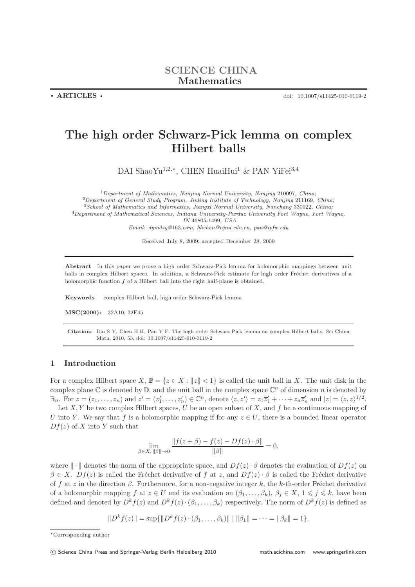• ARTICLES • doi: 10.1007/s11425-010-0119-2

# The high order Schwarz-Pick lemma on complex Hilbert balls

DAI ShaoYu<sup>1,2,∗</sup>, CHEN HuaiHui<sup>1</sup> & PAN YiFei<sup>3,4</sup>

<sup>1</sup>Department of Mathematics, Nanjing Normal University, Nanjing 210097, China;  $2$ Department of General Study Program, Jinling Institute of Technology, Nanjing 211169, China; <sup>3</sup>School of Mathematics and Informatics, Jiangxi Normal University, Nanchang 330022, China; <sup>4</sup>Department of Mathematical Sciences, Indiana University-Purdue University Fort Wayne, Fort Wayne, IN 46805-1499, USA Email: dymdsy@163.com, hhchen@njnu.edu.cn, pan@ipfw.edu

Received July 8, 2009; accepted December 28, 2009

Abstract In this paper we prove a high order Schwarz-Pick lemma for holomorphic mappings between unit balls in complex Hilbert spaces. In addition, a Schwarz-Pick estimate for high order Fréchet derivatives of a holomorphic function  $f$  of a Hilbert ball into the right half-plane is obtained.

Keywords complex Hilbert ball, high order Schwarz-Pick lemma

MSC(2000): 32A10, 32F45

Citation: Dai S Y, Chen H H, Pan Y F. The high order Schwarz-Pick lemma on complex Hilbert balls. Sci China Math, 2010, 53, doi: 10.1007/s11425-010-0119-2

### 1 Introduction

For a complex Hilbert space  $X, \mathbb{B} = \{z \in X : ||z|| < 1\}$  is called the unit ball in X. The unit disk in the complex plane  $\mathbb C$  is denoted by  $\mathbb D$ , and the unit ball in the complex space  $\mathbb C^n$  of dimension n is denoted by  $\mathbb{B}_n$ . For  $z = (z_1, \ldots, z_n)$  and  $z' = (z'_1, \ldots, z'_n) \in \mathbb{C}^n$ , denote  $\langle z, z' \rangle = z_1 \overline{z}'_1 + \cdots + z_n \overline{z}'_n$  and  $|z| = \langle z, z \rangle^{1/2}$ .

Let  $X, Y$  be two complex Hilbert spaces, U be an open subset of X, and f be a continuous mapping of U into Y. We say that f is a holomorphic mapping if for any  $z \in U$ , there is a bounded linear operator  $Df(z)$  of X into Y such that

$$
\lim_{\beta \in X, \, \|\beta\| \to 0} \frac{\|f(z + \beta) - f(z) - Df(z) \cdot \beta\|}{\|\beta\|} = 0,
$$

where  $\|\cdot\|$  denotes the norm of the appropriate space, and  $Df(z) \cdot \beta$  denotes the evaluation of  $Df(z)$  on  $\beta \in X$ .  $Df(z)$  is called the Fréchet derivative of f at z, and  $Df(z) \cdot \beta$  is called the Fréchet derivative of f at z in the direction  $\beta$ . Furthermore, for a non-negative integer k, the k-th-order Fréchet derivative of a holomorphic mapping  $f$  at  $z \in U$  and its evaluation on  $(\beta_1, \ldots, \beta_k)$ ,  $\beta_j \in X$ ,  $1 \leq j \leq k$ , have been defined and denoted by  $D^k f(z)$  and  $D^k f(z) \cdot (\beta_1, \ldots, \beta_k)$  respectively. The norm of  $D^k f(z)$  is defined as

 $||D^k f(z)|| = \sup{||D^k f(z) \cdot (\beta_1, \dots, \beta_k)||} ||\beta_1|| = \dots = ||\beta_k|| = 1$ .

<sup>∗</sup>Corresponding author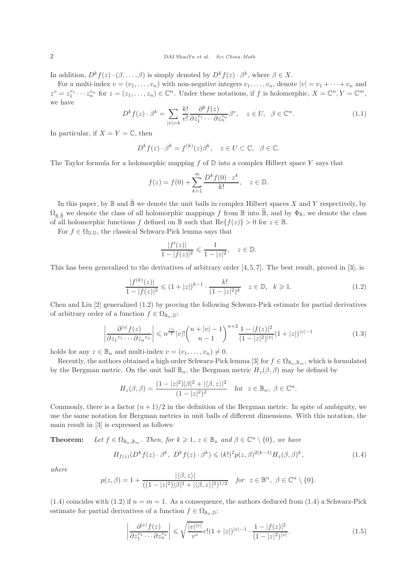In addition,  $D^k f(z) \cdot (\beta, \ldots, \beta)$  is simply denoted by  $D^k f(z) \cdot \beta^k$ , where  $\beta \in X$ .

For a multi-index  $v = (v_1, \ldots, v_n)$  with non-negative integers  $v_1, \ldots, v_n$ , denote  $|v| = v_1 + \cdots + v_n$  and  $z^v = z_1^{v_1} \cdots z_n^{v_n}$  for  $z = (z_1, \ldots, z_n) \in \mathbb{C}^n$ . Under these notations, if f is holomorphic,  $X = \mathbb{C}^n, Y = \mathbb{C}^m$ , we have

$$
D^{k} f(z) \cdot \beta^{k} = \sum_{|v|=k} \frac{k!}{v!} \frac{\partial^{k} f(z)}{\partial z_{1}^{v_{1}} \cdots \partial z_{n}^{v_{n}}} \beta^{v}, \quad z \in U, \ \beta \in \mathbb{C}^{n}.
$$
\n(1.1)

In particular, if  $X = Y = \mathbb{C}$ , then

$$
D^k f(z) \cdot \beta^k = f^{(k)}(z) \beta^k, \quad z \in U \subset \mathbb{C}, \ \beta \in \mathbb{C}.
$$

The Taylor formula for a holomorphic mapping  $f$  of  $\mathbb D$  into a complex Hilbert space Y says that

$$
f(z) = f(0) + \sum_{k=1}^{\infty} \frac{D^k f(0) \cdot z^k}{k!}, \quad z \in \mathbb{D}.
$$

In this paper, by  $\mathbb B$  and  $\tilde{\mathbb B}$  we denote the unit balls in complex Hilbert spaces X and Y respectively, by  $\Omega_{\mathbb{R}}$   $\tilde{\mathbb{R}}$  we denote the class of all holomorphic mappings f from  $\mathbb{B}$  into  $\tilde{\mathbb{B}}$ , and by  $\Phi_{\mathbb{B}}$ , we denote the class of all holomorphic functions f defined on  $\mathbb B$  such that  $\text{Re}\{f(z)\} > 0$  for  $z \in \mathbb B$ .

For  $f \in \Omega_{\mathbb{D},\mathbb{D}}$ , the classical Schwarz-Pick lemma says that

$$
\frac{|f'(z)|}{1-|f(z)|^2} \leq \frac{1}{1-|z|^2}, \quad z \in \mathbb{D}.
$$

This has been generalized to the derivatives of arbitrary order  $[4, 5, 7]$ . The best result, proved in [3], is

$$
\frac{|f^{(k)}(z)|}{1-|f(z)|^2} \leq (1+|z|)^{k-1} \cdot \frac{k!}{(1-|z|^2)^k} \quad z \in \mathbb{D}, \quad k \geq 1.
$$
\n(1.2)

Chen and Liu [2] generalized (1.2) by proving the following Schwarz-Pick estimate for partial derivatives of arbitrary order of a function  $f \in \Omega_{\mathbb{B}_n}$ .

$$
\left| \frac{\partial^{|v|} f(z)}{\partial z_1^{v_1} \cdots \partial z_n^{v_n}} \right| \leqslant n^{\frac{|v|}{2}} |v|! \binom{n+|v|-1}{n-1}^{n+2} \frac{1-|f(z)|^2}{(1-|z|^2)^{|v|}} (1+|z|)^{|v|-1} \tag{1.3}
$$

holds for any  $z \in \mathbb{B}_n$  and multi-index  $v = (v_1, \ldots, v_n) \neq 0$ .

Recently, the authors obtained a high order Schwarz-Pick lemma [3] for  $f \in \Omega_{\mathbb{B}_n,\mathbb{B}_m}$ , which is formulated by the Bergman metric. On the unit ball  $\mathbb{B}_n$ , the Bergman metric  $H_z(\beta, \beta)$  may be defined by

$$
H_z(\beta, \beta) = \frac{(1 - |z|^2)|\beta|^2 + |\langle \beta, z \rangle|^2}{(1 - |z|^2)^2} \text{ for } z \in \mathbb{B}_n, \ \beta \in \mathbb{C}^n.
$$

Commonly, there is a factor  $(n+1)/2$  in the definition of the Bergman metric. In spite of ambiguity, we use the same notation for Bergman metrics in unit balls of different dimensions. With this notation, the main result in [3] is expressed as follows:

**Theorem:** Let  $f \in \Omega_{\mathbb{B}_n,\mathbb{B}_m}$ . Then, for  $k \geq 1$ ,  $z \in \mathbb{B}_n$  and  $\beta \in \mathbb{C}^n \setminus \{0\}$ , we have

$$
H_{f(z)}(D^k f(z) \cdot \beta^k, D^k f(z) \cdot \beta^k) \leq (k!)^2 p(z, \beta)^{2(k-1)} H_z(\beta, \beta)^k,
$$
\n(1.4)

where

$$
p(z,\beta) = 1 + \frac{|\langle \beta, z \rangle|}{((1-|z|^2)|\beta|^2 + |\langle \beta, z \rangle|^2)^{1/2}} \quad \text{for } z \in \mathbb{B}^n, \ \beta \in \mathbb{C}^n \setminus \{0\}.
$$

(1.4) coincides with (1.2) if  $n = m = 1$ . As a consequence, the authors deduced from (1.4) a Schwarz-Pick estimate for partial derivatives of a function  $f \in \Omega_{\mathbb{B}_n, \mathbb{D}}$ :

$$
\left| \frac{\partial^{|v|} f(z)}{\partial z_1^{v_1} \cdots \partial z_n^{v_n}} \right| \leqslant \sqrt{\frac{|v| |v|}{v^v}} v! (1 + |z|)^{|v| - 1} \cdot \frac{1 - |f(z)|^2}{(1 - |z|^2)^{|v|}}.
$$
\n(1.5)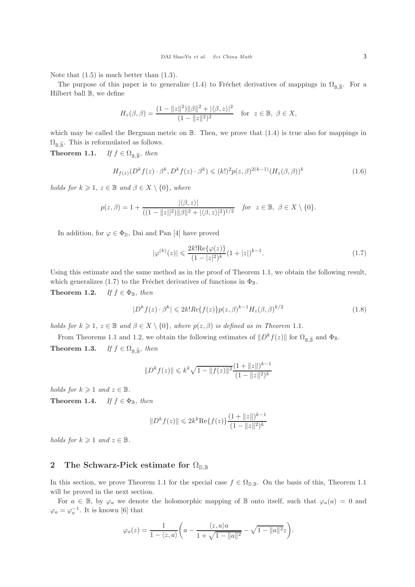Note that  $(1.5)$  is much better than  $(1.3)$ .

The purpose of this paper is to generalize (1.4) to Fréchet derivatives of mappings in  $\Omega_{\mathbb{R}}\tilde{\mathbb{R}}$ . For a Hilbert ball  $\mathbb B$ , we define

$$
H_z(\beta, \beta) = \frac{(1 - ||z||^2) ||\beta||^2 + |\langle \beta, z \rangle|^2}{(1 - ||z||^2)^2} \quad \text{for } z \in \mathbb{B}, \ \beta \in X,
$$

which may be called the Bergman metric on  $\mathbb B$ . Then, we prove that  $(1.4)$  is true also for mappings in  $\Omega_{\mathbb{B}, \widetilde{\mathbb{B}}}$ . This is reformulated as follows.

**Theorem 1.1.** If  $f \in \Omega_{\mathbb{B}, \widetilde{\mathbb{B}}}$ , then

$$
H_{f(z)}(D^k f(z) \cdot \beta^k, D^k f(z) \cdot \beta^k) \le (k!)^2 p(z, \beta)^{2(k-1)} (H_z(\beta, \beta))^k
$$
\n(1.6)

holds for  $k \geq 1$ ,  $z \in \mathbb{B}$  and  $\beta \in X \setminus \{0\}$ , where

$$
p(z,\beta) = 1 + \frac{|\langle \beta, z \rangle|}{((1 - \|z\|^2)\|\beta\|^2 + |\langle \beta, z \rangle|^2)^{1/2}} \quad \text{for } z \in \mathbb{B}, \ \beta \in X \setminus \{0\}.
$$

In addition, for  $\varphi \in \Phi_{\mathbb{D}}$ , Dai and Pan [4] have proved

$$
|\varphi^{(k)}(z)| \leq \frac{2k! \text{Re}\{\varphi(z)\}}{(1-|z|^2)^k} (1+|z|)^{k-1}.
$$
\n(1.7)

Using this estimate and the same method as in the proof of Theorem 1.1, we obtain the following result, which generalizes (1.7) to the Fréchet derivatives of functions in  $\Phi_{\mathbb{B}}$ .

**Theorem 1.2.** If  $f \in \Phi_{\mathbb{B}}$ , then

$$
|D^k f(z) \cdot \beta^k| \leq 2k! Re\{f(z)\} p(z,\beta)^{k-1} H_z(\beta,\beta)^{k/2}
$$
\n(1.8)

holds for  $k \geq 1$ ,  $z \in \mathbb{B}$  and  $\beta \in X \setminus \{0\}$ , where  $p(z, \beta)$  is defined as in Theorem 1.1.

From Theorems 1.1 and 1.2, we obtain the following estimates of  $||D^k f(z)||$  for  $\Omega_{\mathbb{R}} \tilde{P}$  and  $\Phi_{\mathbb{B}}$ . **Theorem 1.3.** If  $f \in \Omega_{\mathbb{R}}$   $\tilde{g}$ , then

$$
||D^k f(z)|| \le k^k \sqrt{1 - ||f(z)||^2} \frac{(1 + ||z||)^{k-1}}{(1 - ||z||^2)^k}
$$

holds for  $k \geqslant 1$  and  $z \in \mathbb{B}$ .

**Theorem 1.4.** If  $f \in \Phi_{\mathbb{R}}$ , then

$$
||D^k f(z)|| \leq 2k^k \text{Re}\{f(z)\} \frac{(1+||z||)^{k-1}}{(1-||z||^2)^k}
$$

holds for  $k \geq 1$  and  $z \in \mathbb{B}$ .

# 2 The Schwarz-Pick estimate for  $\Omega_{\mathbb{D},\mathbb{B}}$

In this section, we prove Theorem 1.1 for the special case  $f \in \Omega_{D,B}$ . On the basis of this, Theorem 1.1 will be proved in the next section.

For  $a \in \mathbb{B}$ , by  $\varphi_a$  we denote the holomorphic mapping of  $\mathbb{B}$  onto itself, such that  $\varphi_a(a) = 0$  and  $\varphi_a = \varphi_a^{-1}$ . It is known [6] that

$$
\varphi_a(z) = \frac{1}{1 - \langle z, a \rangle} \left( a - \frac{\langle z, a \rangle a}{1 + \sqrt{1 - \|a\|^2}} - \sqrt{1 - \|a\|^2} z \right).
$$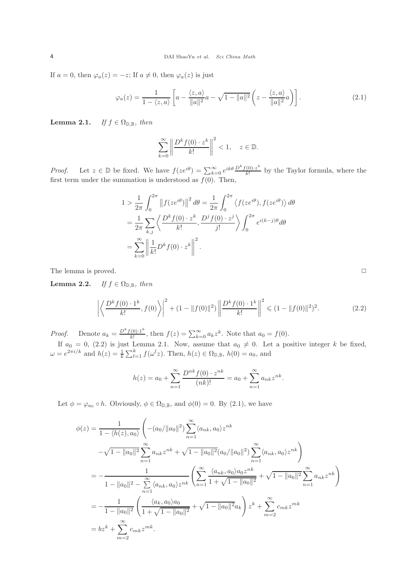If  $a = 0$ , then  $\varphi_a(z) = -z$ ; If  $a \neq 0$ , then  $\varphi_a(z)$  is just

$$
\varphi_a(z) = \frac{1}{1 - \langle z, a \rangle} \left[ a - \frac{\langle z, a \rangle}{\|a\|^2} a - \sqrt{1 - \|a\|^2} \left( z - \frac{\langle z, a \rangle}{\|a\|^2} a \right) \right]. \tag{2.1}
$$

Lemma 2.1. If  $f \in \Omega_{\mathbb{D}, \mathbb{B}}$ , then

$$
\sum_{k=0}^{\infty} \left\| \frac{D^k f(0) \cdot z^k}{k!} \right\|^2 < 1, \quad z \in \mathbb{D}.
$$

*Proof.* Let  $z \in \mathbb{D}$  be fixed. We have  $f(ze^{i\theta}) = \sum_{k=0}^{\infty} e^{ik\theta} \frac{D^k f(0) \cdot z^k}{k!}$  $\frac{(0)^{1/2}}{k!}$  by the Taylor formula, where the first term under the summation is understood as  $f(0)$ . Then,

$$
1 > \frac{1}{2\pi} \int_0^{2\pi} ||f(ze^{i\theta})||^2 d\theta = \frac{1}{2\pi} \int_0^{2\pi} \langle f(ze^{i\theta}), f(ze^{i\theta}) \rangle d\theta
$$
  
=  $\frac{1}{2\pi} \sum_{k,j} \left\langle \frac{D^k f(0) \cdot z^k}{k!}, \frac{D^j f(0) \cdot z^j}{j!} \right\rangle \int_0^{2\pi} e^{i(k-j)\theta} d\theta$   
=  $\sum_{k=0}^{\infty} \left\| \frac{1}{k!} D^k f(0) \cdot z^k \right\|^2$ .

The lemma is proved. □

Lemma 2.2. If  $f \in \Omega_{\mathbb{D}, \mathbb{B}}$ , then

$$
\left| \left\langle \frac{D^k f(0) \cdot 1^k}{k!}, f(0) \right\rangle \right|^2 + (1 - \|f(0)\|^2) \left\| \frac{D^k f(0) \cdot 1^k}{k!} \right\|^2 \leq (1 - \|f(0)\|^2)^2. \tag{2.2}
$$

*Proof.* Denote  $a_k = \frac{D^k f(0) \cdot 1^k}{k!}$  $\sum_{k=0}^{\infty} a_k z^k$ . Note that  $a_0 = f(0)$ .

If  $a_0 = 0$ , (2.2) is just Lemma 2.1. Now, assume that  $a_0 \neq 0$ . Let a positive integer k be fixed,  $\omega = e^{2\pi i/k}$  and  $h(z) = \frac{1}{k} \sum_{l=1}^{k} f(\omega^{l} z)$ . Then,  $h(z) \in \Omega_{\mathbb{D}, \mathbb{B}}$ ,  $h(0) = a_0$ , and

$$
h(z) = a_0 + \sum_{n=1}^{\infty} \frac{D^{nk} f(0) \cdot z^{nk}}{(nk)!} = a_0 + \sum_{n=1}^{\infty} a_{nk} z^{nk}.
$$

Let  $\phi = \varphi_{a_0} \circ h$ . Obviously,  $\phi \in \Omega_{\mathbb{D}, \mathbb{B}}$ , and  $\phi(0) = 0$ . By  $(2.1)$ , we have

$$
\phi(z) = \frac{1}{1 - \langle h(z), a_0 \rangle} \left( - (a_0 / \|a_0\|^2) \sum_{n=1}^{\infty} \langle a_{nk}, a_0 \rangle z^{nk} - \sqrt{1 - \|a_0\|^2} \sum_{n=1}^{\infty} a_{nk} z^{nk} + \sqrt{1 - \|a_0\|^2} (a_0 / \|a_0\|^2) \sum_{n=1}^{\infty} \langle a_{nk}, a_0 \rangle z^{nk} \right)
$$
  
\n
$$
= - \frac{1}{1 - \|a_0\|^2 - \sum_{n=1}^{\infty} \langle a_{nk}, a_0 \rangle z^{nk}} \left( \sum_{n=1}^{\infty} \frac{\langle a_{nk}, a_0 \rangle a_0 z^{nk}}{1 + \sqrt{1 - \|a_0\|^2}} + \sqrt{1 - \|a_0\|^2} \sum_{n=1}^{\infty} a_{nk} z^{nk} \right)
$$
  
\n
$$
= - \frac{1}{1 - \|a_0\|^2} \left( \frac{\langle a_k, a_0 \rangle a_0}{1 + \sqrt{1 - \|a_0\|^2}} + \sqrt{1 - \|a_0\|^2} a_k \right) z^k + \sum_{m=2}^{\infty} c_{mk} z^{mk}
$$
  
\n
$$
= bz^k + \sum_{m=2}^{\infty} c_{mk} z^{mk}.
$$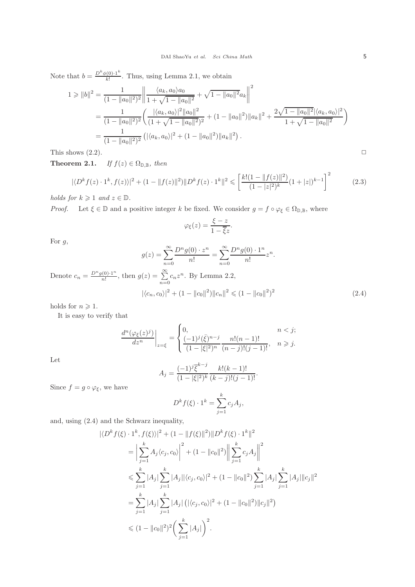Note that  $b = \frac{D^k \phi(0) \cdot 1^k}{k!}$  $\frac{\lambda(0) \cdot 1}{k!}$ . Thus, using Lemma 2.1, we obtain

$$
1 \ge ||b||^2 = \frac{1}{(1 - ||a_0||^2)^2} \left\| \frac{\langle a_k, a_0 \rangle a_0}{1 + \sqrt{1 - ||a_0||^2}} + \sqrt{1 - ||a_0||^2} a_k \right\|^2
$$
  
= 
$$
\frac{1}{(1 - ||a_0||^2)^2} \left( \frac{|\langle a_k, a_0 \rangle|^2 ||a_0||^2}{(1 + \sqrt{1 - ||a_0||^2})^2} + (1 - ||a_0||^2) ||a_k||^2 + \frac{2\sqrt{1 - ||a_0||^2} |\langle a_k, a_0 \rangle|^2}{1 + \sqrt{1 - ||a_0||^2}} \right)
$$
  
= 
$$
\frac{1}{(1 - ||a_0||^2)^2} \left( |\langle a_k, a_0 \rangle|^2 + (1 - ||a_0||^2) ||a_k||^2 \right).
$$

This shows  $(2.2)$ .

**Theorem 2.1.** If  $f(z) \in \Omega_{\mathbb{D},\mathbb{B}}$ , then

$$
|\langle D^k f(z) \cdot 1^k, f(z) \rangle|^2 + (1 - \|f(z)\|^2) \|D^k f(z) \cdot 1^k\|^2 \le \left[ \frac{k!(1 - \|f(z)\|^2)}{(1 - |z|^2)^k} (1 + |z|)^{k-1} \right]^2 \tag{2.3}
$$

holds for  $k \geqslant 1$  and  $z \in \mathbb{D}$ .

*Proof.* Let  $\xi \in \mathbb{D}$  and a positive integer k be fixed. We consider  $g = f \circ \varphi_{\xi} \in \Omega_{\mathbb{D}, \mathbb{B}}$ , where

$$
\varphi_{\xi}(z) = \frac{\xi - z}{1 - \overline{\xi}z}.
$$

For  $g$ ,

$$
g(z) = \sum_{n=0}^{\infty} \frac{D^n g(0) \cdot z^n}{n!} = \sum_{n=0}^{\infty} \frac{D^n g(0) \cdot 1^n}{n!} z^n.
$$
  

$$
\frac{g(z)}{z!} = \sum_{n=0}^{\infty} c_n z^n.
$$
 By Lemma 2.2,

$$
|\langle c_n, c_0 \rangle|^2 + (1 - \|c_0\|^2) \|c_n\|^2 \leq (1 - \|c_0\|^2)^2 \tag{2.4}
$$

holds for  $n \geqslant 1$ .

Denote  $c_n = \frac{D^n g(0) \cdot 1^n}{n!}$ 

It is easy to verify that

$$
\frac{d^n(\varphi_{\xi}(z)^j)}{dz^n}\bigg|_{z=\xi} = \begin{cases} 0, & n < j; \\ \frac{(-1)^j(\bar{\xi})^{n-j}}{(1-|\xi|^2)^n} \frac{n!(n-1)!}{(n-j)!(j-1)!}, & n \geq j. \end{cases}
$$

Let

$$
A_j = \frac{(-1)^j \overline{\xi}^{k-j}}{(1-|\xi|^2)^k} \frac{k!(k-1)!}{(k-j)!(j-1)!}.
$$

Since  $f = g \circ \varphi_{\xi}$ , we have

$$
D^k f(\xi) \cdot 1^k = \sum_{j=1}^k c_j A_j,
$$

and, using (2.4) and the Schwarz inequality,

$$
\begin{split}\n|\langle D^k f(\xi) \cdot 1^k, f(\xi) \rangle|^2 + (1 - \|f(\xi)\|^2) \|D^k f(\xi) \cdot 1^k\|^2 \\
&= \Big| \sum_{j=1}^k A_j \langle c_j, c_0 \rangle \Big|^2 + (1 - \|c_0\|^2) \Big\| \sum_{j=1}^k c_j A_j \Big\|^2 \\
&\leqslant \sum_{j=1}^k |A_j| \sum_{j=1}^k |A_j| | \langle c_j, c_0 \rangle|^2 + (1 - \|c_0\|^2) \sum_{j=1}^k |A_j| \sum_{j=1}^k |A_j| \|c_j\|^2 \\
&= \sum_{j=1}^k |A_j| \sum_{j=1}^k |A_j| \left( |\langle c_j, c_0 \rangle|^2 + (1 - \|c_0\|^2) \|c_j\|^2 \right) \\
&\leqslant (1 - \|c_0\|^2)^2 \left( \sum_{j=1}^k |A_j| \right)^2.\n\end{split}
$$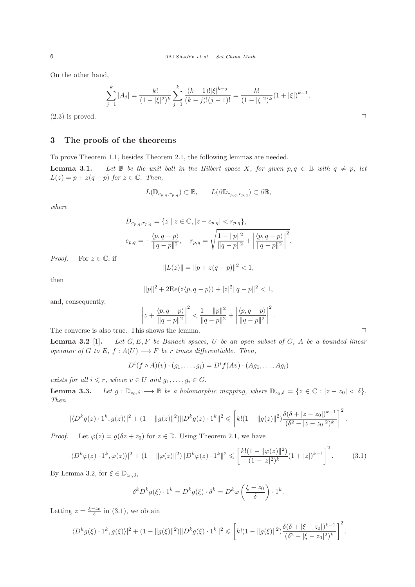On the other hand,

$$
\sum_{j=1}^k |A_j| = \frac{k!}{(1-|\xi|^2)^k} \sum_{j=1}^k \frac{(k-1)! |\xi|^{k-j}}{(k-j)!(j-1)!} = \frac{k!}{(1-|\xi|^2)^k} (1+|\xi|)^{k-1}.
$$

 $(2.3)$  is proved.

## 3 The proofs of the theorems

To prove Theorem 1.1, besides Theorem 2.1, the following lemmas are needed. **Lemma 3.1.** Let  $\mathbb B$  be the unit ball in the Hilbert space X, for given  $p, q \in \mathbb B$  with  $q \neq p$ , let  $L(z) = p + z(q - p)$  for  $z \in \mathbb{C}$ . Then,

$$
L(\mathbb{D}_{c_p,q,r_p,q}) \subset \mathbb{B}, \qquad L(\partial \mathbb{D}_{c_p,q,r_p,q}) \subset \partial \mathbb{B},
$$

where

$$
D_{c_{p,q},r_{p,q}} = \{ z \mid z \in \mathbb{C}, |z - c_{p,q}| < r_{p,q} \},
$$
  

$$
c_{p,q} = -\frac{\langle p, q - p \rangle}{\|q - p\|^2}, \quad r_{p,q} = \sqrt{\frac{1 - \|p\|^2}{\|q - p\|^2} + \left| \frac{\langle p, q - p \rangle}{\|q - p\|^2} \right|^2}.
$$

*Proof.* For  $z \in \mathbb{C}$ , if

$$
||L(z)|| = ||p + z(q - p)||^2 < 1,
$$

then

$$
||p||^2 + 2\text{Re}(\bar{z}\langle p, q - p \rangle) + |z|^2 ||q - p||^2 < 1,
$$

and, consequently,

$$
\left|z+\frac{\langle p,q-p\rangle}{\|q-p\|^2}\right|^2<\frac{1-\|p\|^2}{\|q-p\|^2}+\left|\frac{\langle p,q-p\rangle}{\|q-p\|^2}\right|^2.
$$

The converse is also true. This shows the lemma.  $\Box$ 

**Lemma 3.2** [1]. Let  $G, E, F$  be Banach spaces, U be an open subset of  $G$ , A be a bounded linear operator of G to E,  $f : A(U) \longrightarrow F$  be r times differentiable. Then,

$$
D^{i}(f \circ A)(v) \cdot (g_1, \ldots, g_i) = D^{i}f(Av) \cdot (Ag_1, \ldots, Ag_i)
$$

exists for all  $i \leq r$ , where  $v \in U$  and  $g_1, \ldots, g_i \in G$ .

**Lemma 3.3.** Let  $g: \mathbb{D}_{z_0,\delta} \longrightarrow \mathbb{B}$  be a holomorphic mapping, where  $\mathbb{D}_{z_0,\delta} = \{z \in \mathbb{C} : |z - z_0| < \delta\}.$ Then

$$
|\langle D^k g(z) \cdot 1^k, g(z) \rangle|^2 + (1 - \|g(z)\|^2) \|D^k g(z) \cdot 1^k\|^2 \leqslant \left[k! (1 - \|g(z)\|^2) \frac{\delta(\delta + |z - z_0|)^{k-1}}{(\delta^2 - |z - z_0|^2)^k}\right]^2.
$$

*Proof.* Let  $\varphi(z) = g(\delta z + z_0)$  for  $z \in \mathbb{D}$ . Using Theorem 2.1, we have

$$
|\langle D^k \varphi(z) \cdot 1^k, \varphi(z) \rangle|^2 + (1 - \|\varphi(z)\|^2) \|D^k \varphi(z) \cdot 1^k\|^2 \leqslant \left[ \frac{k! (1 - \|\varphi(z)\|^2)}{(1 - |z|^2)^k} (1 + |z|)^{k-1} \right]^2. \tag{3.1}
$$

By Lemma 3.2, for  $\xi \in \mathbb{D}_{z_0,\delta}$ ,

$$
\delta^k D^k g(\xi) \cdot 1^k = D^k g(\xi) \cdot \delta^k = D^k \varphi \left( \frac{\xi - z_0}{\delta} \right) \cdot 1^k.
$$

Letting  $z = \frac{\xi - z_0}{\delta}$  in (3.1), we obtain

$$
|\langle D^k g(\xi) \cdot 1^k, g(\xi) \rangle|^2 + (1 - \|g(\xi)\|^2) \|D^k g(\xi) \cdot 1^k\|^2 \leqslant \left[k! (1 - \|g(\xi)\|^2) \frac{\delta(\delta + |\xi - z_0|)^{k-1}}{(\delta^2 - |\xi - z_0|^2)^k}\right]^2.
$$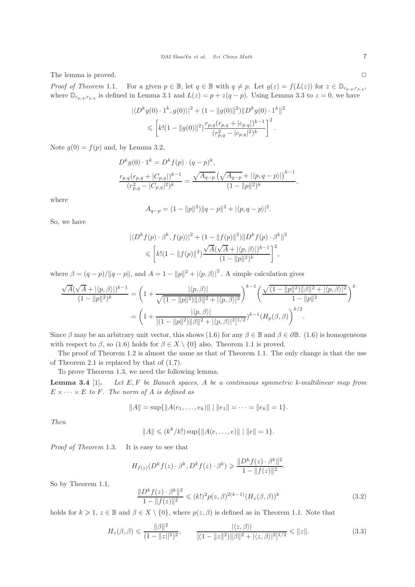The lemma is proved. □

Proof of Theorem 1.1. For a given  $p \in \mathbb{B}$ , let  $q \in \mathbb{B}$  with  $q \neq p$ . Let  $g(z) = f(L(z))$  for  $z \in \mathbb{D}_{c_{p,q},r_{p,q}}$ , where  $\mathbb{D}_{c_{p,q},r_{p,q}}$  is defined in Lemma 3.1 and  $L(z) = p + z(q - p)$ . Using Lemma 3.3 to  $z = 0$ , we have

$$
\begin{aligned} |\langle D^k g(0) \cdot 1^k, g(0) \rangle|^2 + (1 - \|g(0)\|^2) \|D^k g(0) \cdot 1^k\|^2 \\ &\leqslant \left[ k! (1 - \|g(0)\|^2) \frac{r_{p,q}(r_{p,q} + |c_{p,q}|)^{k-1}}{(r_{p,q}^2 - |c_{p,q}|^2)^k} \right]^2. \end{aligned}
$$

Note  $g(0) = f(p)$  and, by Lemma 3.2,

$$
D^k g(0) \cdot 1^k = D^k f(p) \cdot (q - p)^k,
$$
  

$$
\frac{r_{p,q}(r_{p,q} + |C_{p,q}|)^{k-1}}{(r_{p,q}^2 - |C_{p,q}|^2)^k} = \frac{\sqrt{A_{q-p}} \left(\sqrt{A_{q-p}} + |\langle p, q-p \rangle|\right)^{k-1}}{(1 - ||p||^2)^k},
$$

where

$$
A_{q-p} = (1 - ||p||^2) ||q - p||^2 + |\langle p, q - p \rangle|^2.
$$

So, we have

$$
\begin{aligned} |\langle D^k f(p) \cdot \beta^k, f(p) \rangle|^2 + (1 - \|f(p)\|^2) \|D^k f(p) \cdot \beta^k\|^2 \\ &\leqslant \left[ k! (1 - \|f(p)\|^2) \frac{\sqrt{A}(\sqrt{A} + |\langle p, \beta \rangle|)^{k-1}}{(1 - \|p\|^2)^k} \right]^2, \end{aligned}
$$

where  $\beta = (q - p)/||q - p||$ , and  $A = 1 - ||p||^2 + |\langle p, \beta \rangle|^2$ . A simple calculation gives

$$
\frac{\sqrt{A}(\sqrt{A} + |\langle p, \beta \rangle|)^{k-1}}{(1 - ||p||^2)^k} = \left(1 + \frac{|\langle p, \beta \rangle|}{\sqrt{(1 - ||p||^2)||\beta||^2 + |\langle p, \beta \rangle|^2}}\right)^{k-1} \left(\frac{\sqrt{(1 - ||p||^2)||\beta||^2 + |\langle p, \beta \rangle|^2}}{1 - ||p||^2}\right)^k
$$

$$
= \left(1 + \frac{|\langle p, \beta \rangle|}{[(1 - ||p||^2)||\beta||^2 + |\langle p, \beta \rangle|^2]^{1/2}}\right)^{k-1} (H_p(\beta, \beta))^{k/2}.
$$

Since  $\beta$  may be an arbitrary unit vector, this shows (1.6) for any  $\beta \in \mathbb{B}$  and  $\beta \in \partial \mathbb{B}$ . (1.6) is homogeneous with respect to  $\beta$ , so (1.6) holds for  $\beta \in X \setminus \{0\}$  also. Theorem 1.1 is proved.

The proof of Theorem 1.2 is almost the same as that of Theorem 1.1. The only change is that the use of Theorem 2.1 is replaced by that of (1.7).

To prove Theorem 1.3, we need the following lemma.

**Lemma 3.4** [1]. Let  $E, F$  be Banach spaces, A be a continuous symmetric k-multilinear map from  $E \times \cdots \times E$  to F. The norm of A is defined as

$$
||A|| = \sup{||A(e_1, ..., e_k)|| \mid ||e_1|| = \cdots = ||e_k|| = 1}.
$$

Then

$$
||A|| \leq (k^k/k!) \sup{||A(e, \ldots, e)|| \mid ||e|| = 1}.
$$

Proof of Theorem 1.3. It is easy to see that

$$
H_{f(z)}(D^k f(z) \cdot \beta^k, D^k f(z) \cdot \beta^k) \ge \frac{\|D^k f(z) \cdot \beta^k\|^2}{1 - \|f(z)\|^2}
$$

So by Theorem 1.1,

$$
\frac{\|D^k f(z) \cdot \beta^k\|^2}{1 - \|f(z)\|^2} \le (k!)^2 p(z,\beta)^{2(k-1)} (H_z(\beta,\beta))^k
$$
\n(3.2)

.

holds for  $k \geq 1$ ,  $z \in \mathbb{B}$  and  $\beta \in X \setminus \{0\}$ , where  $p(z, \beta)$  is defined as in Theorem 1.1. Note that

$$
H_z(\beta,\beta) \leq \frac{\|\beta\|^2}{(1-\|z\|^2)^2}, \qquad \frac{|\langle z,\beta\rangle|}{[(1-\|z\|^2)\|\beta\|^2 + |\langle z,\beta\rangle|^2]^{1/2}} \leq \|z\|.
$$
 (3.3)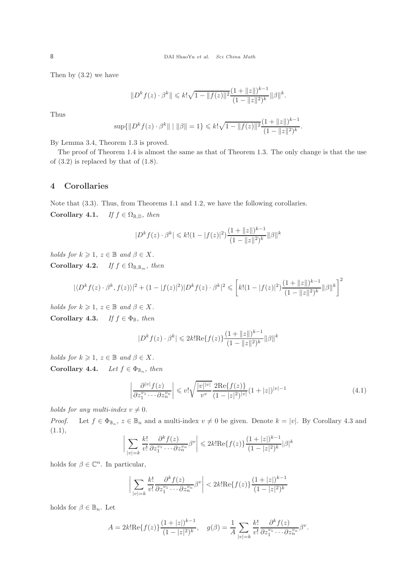Then by (3.2) we have

$$
||D^k f(z) \cdot \beta^k|| \leq k! \sqrt{1 - ||f(z)||^2} \frac{(1 + ||z||)^{k-1}}{(1 - ||z||^2)^k} ||\beta||^k.
$$

Thus

$$
\sup\{\|D^kf(z)\cdot\beta^k\| \mid \|\beta\|=1\} \le k!\sqrt{1-\|f(z)\|^2}\frac{(1+\|z\|)^{k-1}}{(1-\|z\|^2)^k}.
$$

By Lemma 3.4, Theorem 1.3 is proved.

The proof of Theorem 1.4 is almost the same as that of Theorem 1.3. The only change is that the use of (3.2) is replaced by that of (1.8).

#### 4 Corollaries

Note that (3.3). Thus, from Theorems 1.1 and 1.2, we have the following corollaries. Corollary 4.1. If  $f \in \Omega_{\mathbb{B}, \mathbb{D}}$ , then

$$
|D^k f(z) \cdot \beta^k| \le k! (1 - |f(z)|^2) \frac{(1 + ||z||)^{k-1}}{(1 - ||z||^2)^k} ||\beta||^k
$$

holds for  $k \geqslant 1$ ,  $z \in \mathbb{B}$  and  $\beta \in X$ . Corollary 4.2. If  $f \in \Omega_{\mathbb{B}, \mathbb{B}_m}$ , then

$$
|\langle D^k f(z) \cdot \beta^k, f(z) \rangle|^2 + (1 - |f(z)|^2)|D^k f(z) \cdot \beta^k|^2 \leqslant \left[ k! (1 - |f(z)|^2) \frac{(1 + \|z\|)^{k-1}}{(1 - \|z\|^2)^k} \|\beta\|^k \right]^2
$$

holds for  $k \geqslant 1$ ,  $z \in \mathbb{B}$  and  $\beta \in X$ . Corollary 4.3. If  $f \in \Phi_{\mathbb{B}}$ , then

$$
|D^k f(z) \cdot \beta^k| \leq 2k! \text{Re}\{f(z)\} \frac{(1 + \|z\|)^{k-1}}{(1 - \|z\|^2)^k} \|\beta\|^k
$$

holds for  $k \geqslant 1$ ,  $z \in \mathbb{B}$  and  $\beta \in X$ . Corollary 4.4. Let  $f \in \Phi_{\mathbb{B}_n}$ , then

$$
\left| \frac{\partial^{|v|} f(z)}{\partial z_1^{v_1} \cdots \partial z_n^{v_n}} \right| \leqslant v! \sqrt{\frac{|v| |v|}{v^v}} \frac{2 \text{Re}\{f(z)\}}{(1 - |z|^2)^{|v|}} (1 + |z|)^{|v| - 1} \tag{4.1}
$$

holds for any multi-index  $v \neq 0$ .

*Proof.* Let  $f \in \Phi_{\mathbb{B}_n}$ ,  $z \in \mathbb{B}_n$  and a multi-index  $v \neq 0$  be given. Denote  $k = |v|$ . By Corollary 4.3 and (1.1),

$$
\bigg|\sum_{|v|=k}\frac{k!}{v!}\frac{\partial^k f(z)}{\partial z_1^{v_1}\cdots\partial z_n^{v_n}}\beta^v\bigg|\leqslant 2k!\mathrm{Re}\{f(z)\}\frac{(1+|z|)^{k-1}}{(1-|z|^2)^k}|\beta|^k
$$

holds for  $\beta \in \mathbb{C}^n$ . In particular,

$$
\bigg| \sum_{|v|=k} \frac{k!}{v!} \frac{\partial^k f(z)}{\partial z_1^{v_1} \cdots \partial z_n^{v_n}} \beta^v \bigg| < 2k! \text{Re}\{f(z)\} \frac{(1+|z|)^{k-1}}{(1-|z|^2)^k}
$$

holds for  $\beta \in \mathbb{B}_n$ . Let

$$
A = 2k! \text{Re}\{f(z)\} \frac{(1+|z|)^{k-1}}{(1-|z|^2)^k}, \quad g(\beta) = \frac{1}{A} \sum_{|v|=k} \frac{k!}{v!} \frac{\partial^k f(z)}{\partial z_1^{v_1} \cdots \partial z_n^{v_n}} \beta^v.
$$